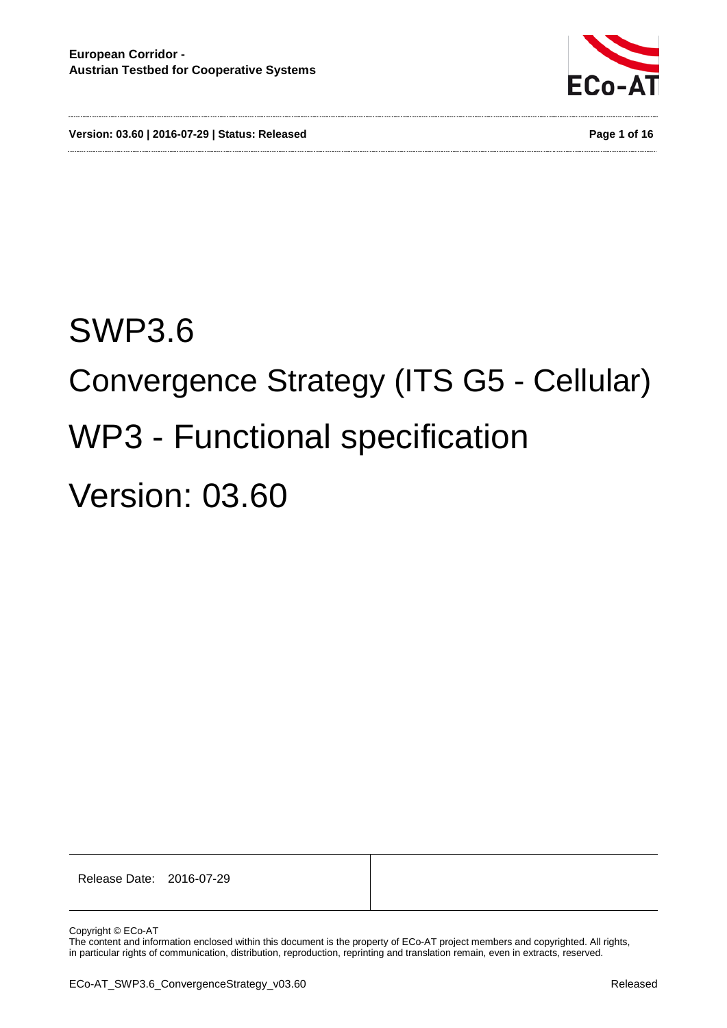

**Version: 03.60 | 2016-07-29 | Status: Released Page 1 of 16**

# SWP3.6 Convergence Strategy (ITS G5 - Cellular) WP3 - Functional specification Version: 03.60

Release Date: 2016-07-29

Copyright © ECo-AT

The content and information enclosed within this document is the property of ECo-AT project members and copyrighted. All rights, in particular rights of communication, distribution, reproduction, reprinting and translation remain, even in extracts, reserved.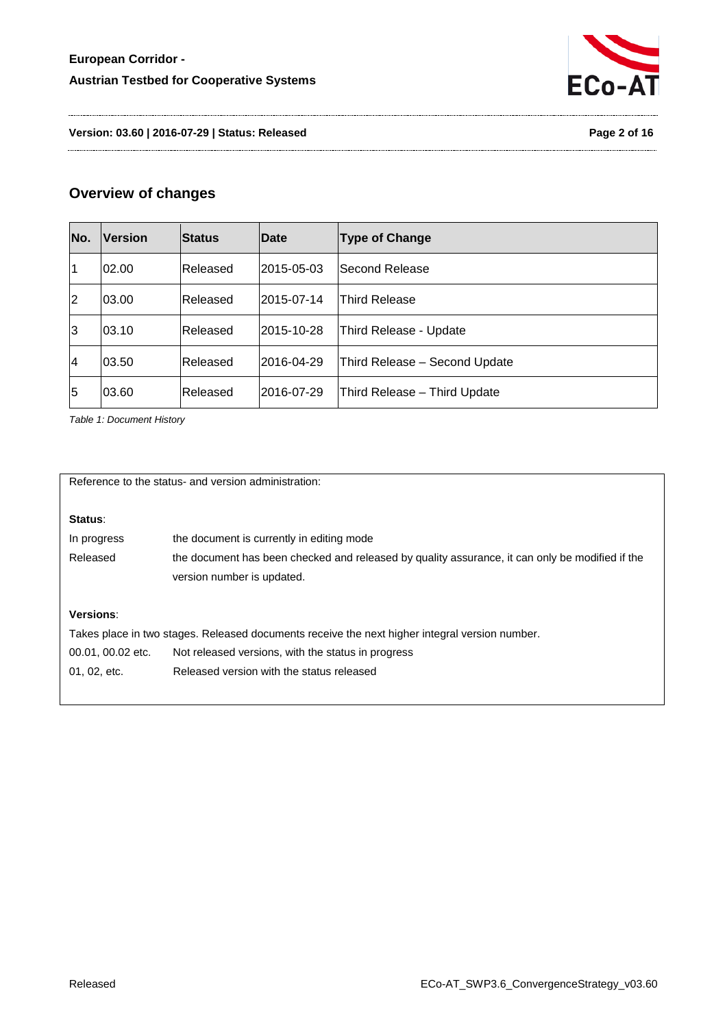

# **Version: 03.60 | 2016-07-29 | Status: Released Page 2 of 16**

# **Overview of changes**

| No.       | <b>Version</b> | <b>Status</b> | <b>IDate</b> | <b>Type of Change</b>         |
|-----------|----------------|---------------|--------------|-------------------------------|
| 1         | 02.00          | Released      | 2015-05-03   | Second Release                |
| 2         | 03.00          | Released      | 2015-07-14   | <b>Third Release</b>          |
| 3         | 03.10          | Released      | 2015-10-28   | Third Release - Update        |
| $\vert 4$ | 03.50          | Released      | 2016-04-29   | Third Release - Second Update |
| 5         | 03.60          | Released      | 2016-07-29   | Third Release - Third Update  |

<span id="page-1-0"></span>*Table 1: Document History*

Reference to the status- and version administration:

## **Status**:

| In progress | the document is currently in editing mode                                                       |
|-------------|-------------------------------------------------------------------------------------------------|
| Released    | the document has been checked and released by quality assurance, it can only be modified if the |
|             | version number is updated.                                                                      |

## **Versions**:

| Takes place in two stages. Released documents receive the next higher integral version number. |                                                    |  |  |
|------------------------------------------------------------------------------------------------|----------------------------------------------------|--|--|
| 00.01, 00.02 etc.                                                                              | Not released versions, with the status in progress |  |  |
| 01, 02, etc.                                                                                   | Released version with the status released          |  |  |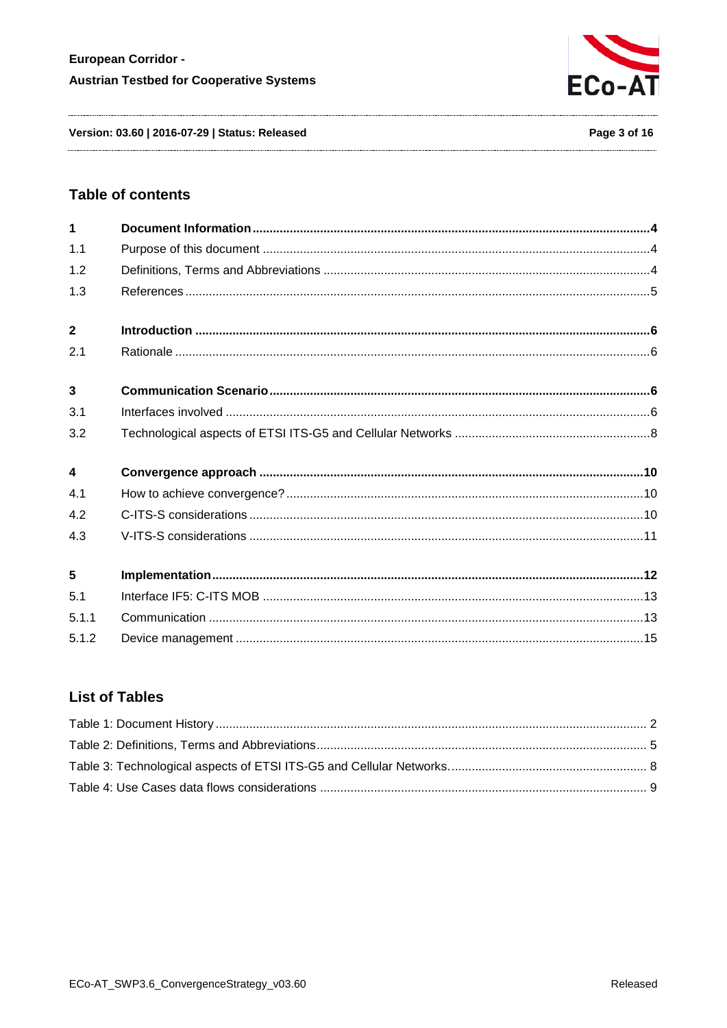

Version: 03.60 | 2016-07-29 | Status: Released

Page 3 of 16

## **Table of contents**

| $\blacktriangleleft$    |  |
|-------------------------|--|
| 1.1                     |  |
| 1.2                     |  |
| 1.3                     |  |
| $\overline{2}$          |  |
| 2.1                     |  |
| $\overline{\mathbf{3}}$ |  |
| 3.1                     |  |
| 3.2                     |  |
| $\overline{\mathbf{4}}$ |  |
| 4.1                     |  |
| 4.2                     |  |
| 4.3                     |  |
| 5                       |  |
| 5.1                     |  |
| 5.1.1                   |  |
| 5.1.2                   |  |

# **List of Tables**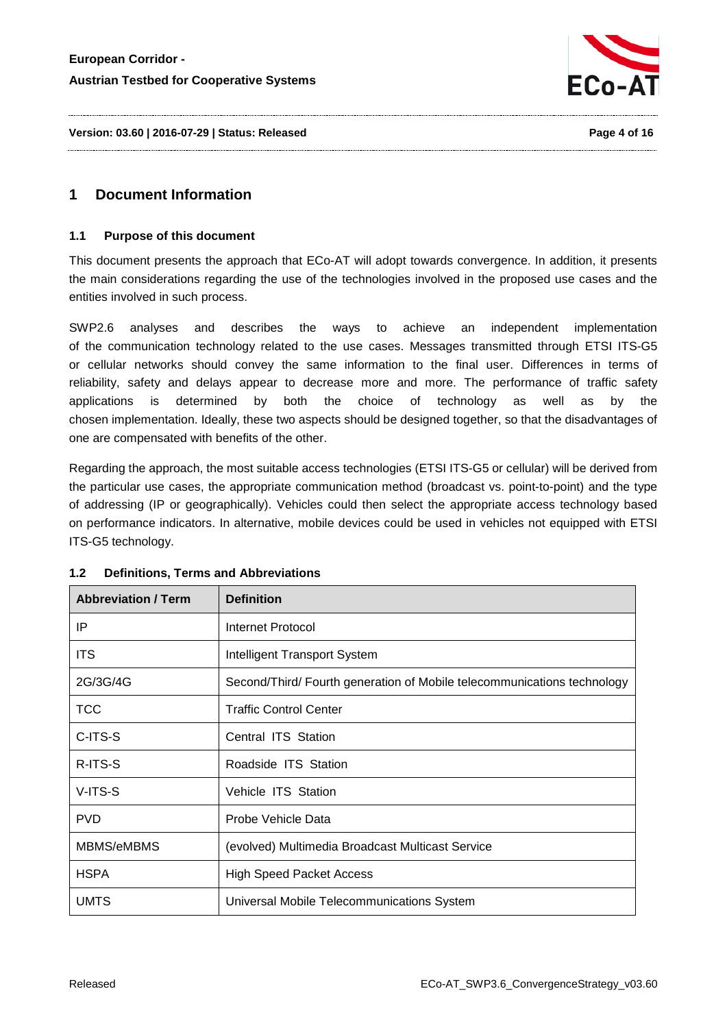

**Version: 03.60 | 2016-07-29 | Status: Released Page 4 of 16**

# <span id="page-3-1"></span><span id="page-3-0"></span>**1 Document Information**

## **1.1 Purpose of this document**

This document presents the approach that ECo-AT will adopt towards convergence. In addition, it presents the main considerations regarding the use of the technologies involved in the proposed use cases and the entities involved in such process.

SWP2.6 analyses and describes the ways to achieve an independent implementation of the communication technology related to the use cases. Messages transmitted through ETSI ITS-G5 or cellular networks should convey the same information to the final user. Differences in terms of reliability, safety and delays appear to decrease more and more. The performance of traffic safety applications is determined by both the choice of technology as well as by the chosen implementation. Ideally, these two aspects should be designed together, so that the disadvantages of one are compensated with benefits of the other.

Regarding the approach, the most suitable access technologies (ETSI ITS-G5 or cellular) will be derived from the particular use cases, the appropriate communication method (broadcast vs. point-to-point) and the type of addressing (IP or geographically). Vehicles could then select the appropriate access technology based on performance indicators. In alternative, mobile devices could be used in vehicles not equipped with ETSI ITS-G5 technology.

| <b>Abbreviation / Term</b> | <b>Definition</b>                                                       |
|----------------------------|-------------------------------------------------------------------------|
| IP                         | Internet Protocol                                                       |
| <b>ITS</b>                 | Intelligent Transport System                                            |
| 2G/3G/4G                   | Second/Third/ Fourth generation of Mobile telecommunications technology |
| <b>TCC</b>                 | <b>Traffic Control Center</b>                                           |
| C-ITS-S                    | Central ITS Station                                                     |
| R-ITS-S                    | Roadside ITS Station                                                    |
| V-ITS-S                    | Vehicle ITS Station                                                     |
| <b>PVD</b>                 | Probe Vehicle Data                                                      |
| MBMS/eMBMS                 | (evolved) Multimedia Broadcast Multicast Service                        |
| <b>HSPA</b>                | <b>High Speed Packet Access</b>                                         |
| <b>UMTS</b>                | Universal Mobile Telecommunications System                              |

## <span id="page-3-2"></span>**1.2 Definitions, Terms and Abbreviations**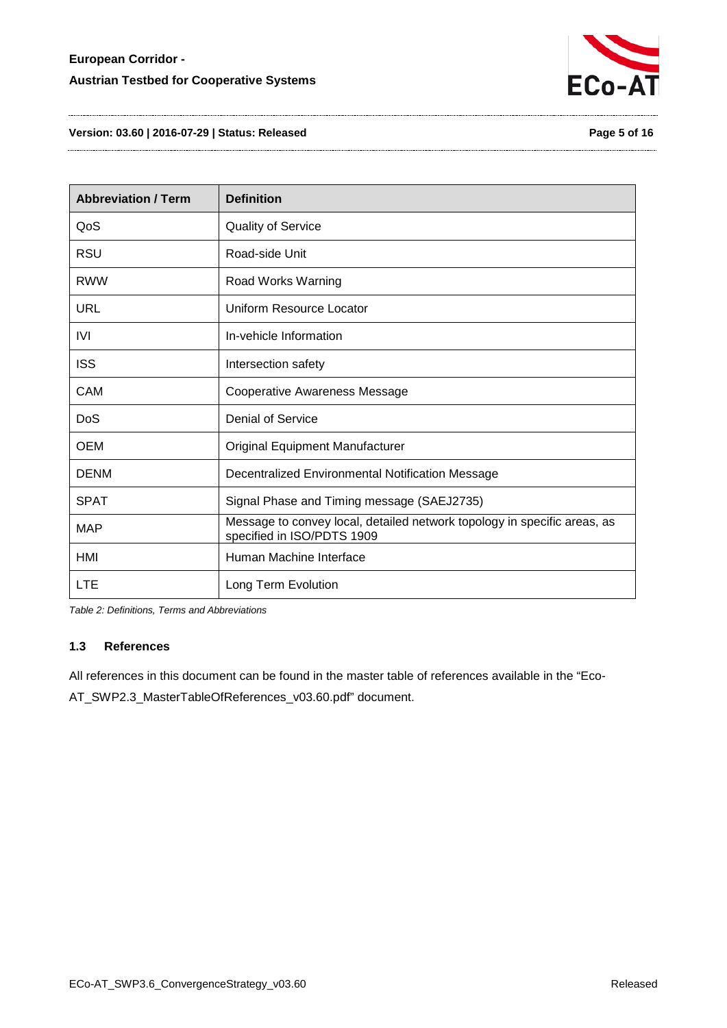

**Version: 03.60 | 2016-07-29 | Status: Released Page 5 of 16**

| <b>Abbreviation / Term</b> | <b>Definition</b>                                                                                      |
|----------------------------|--------------------------------------------------------------------------------------------------------|
| QoS                        | <b>Quality of Service</b>                                                                              |
| <b>RSU</b>                 | Road-side Unit                                                                                         |
| <b>RWW</b>                 | Road Works Warning                                                                                     |
| <b>URL</b>                 | Uniform Resource Locator                                                                               |
| IVI.                       | In-vehicle Information                                                                                 |
| <b>ISS</b>                 | Intersection safety                                                                                    |
| CAM                        | <b>Cooperative Awareness Message</b>                                                                   |
| <b>DoS</b>                 | Denial of Service                                                                                      |
| <b>OEM</b>                 | Original Equipment Manufacturer                                                                        |
| <b>DENM</b>                | Decentralized Environmental Notification Message                                                       |
| <b>SPAT</b>                | Signal Phase and Timing message (SAEJ2735)                                                             |
| <b>MAP</b>                 | Message to convey local, detailed network topology in specific areas, as<br>specified in ISO/PDTS 1909 |
| HMI                        | Human Machine Interface                                                                                |
| <b>LTE</b>                 | Long Term Evolution                                                                                    |

<span id="page-4-1"></span>*Table 2: Definitions, Terms and Abbreviations*

## <span id="page-4-0"></span>**1.3 References**

All references in this document can be found in the master table of references available in the "Eco-AT\_SWP2.3\_MasterTableOfReferences\_v03.60.pdf" document.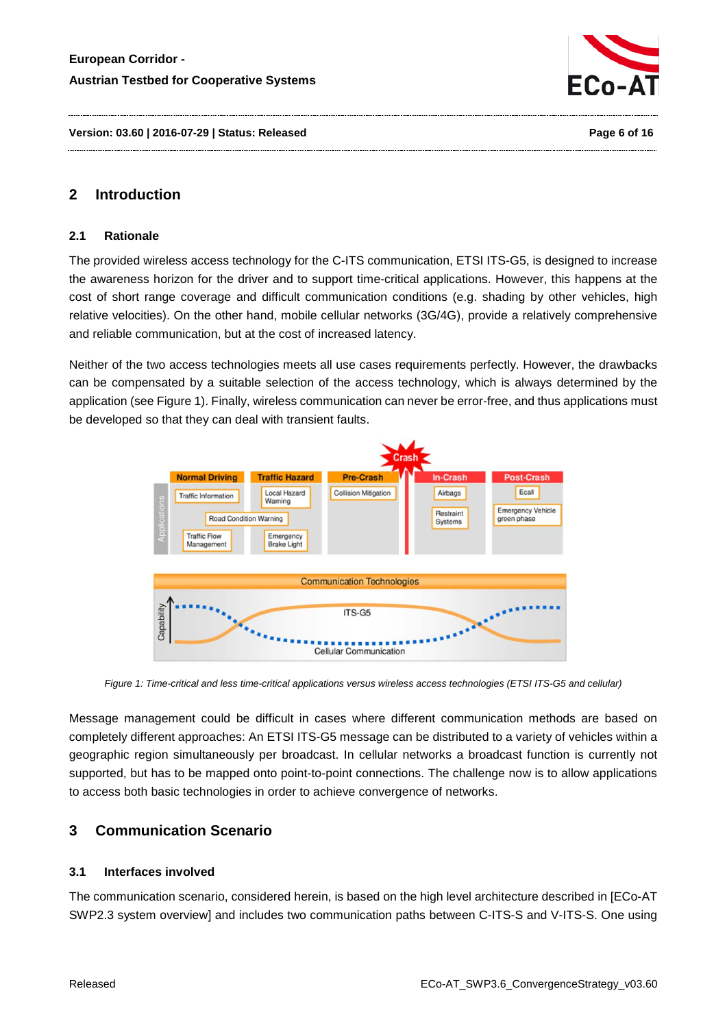

**Version: 03.60 | 2016-07-29 | Status: Released Page 6 of 16**

# <span id="page-5-1"></span><span id="page-5-0"></span>**2 Introduction**

## **2.1 Rationale**

The provided wireless access technology for the C-ITS communication, ETSI ITS-G5, is designed to increase the awareness horizon for the driver and to support time-critical applications. However, this happens at the cost of short range coverage and difficult communication conditions (e.g. shading by other vehicles, high relative velocities). On the other hand, mobile cellular networks (3G/4G), provide a relatively comprehensive and reliable communication, but at the cost of increased latency.

Neither of the two access technologies meets all use cases requirements perfectly. However, the drawbacks can be compensated by a suitable selection of the access technology, which is always determined by the application (see Figure 1). Finally, wireless communication can never be error-free, and thus applications must be developed so that they can deal with transient faults.



*Figure 1: Time-critical and less time-critical applications versus wireless access technologies (ETSI ITS-G5 and cellular)* 

Message management could be difficult in cases where different communication methods are based on completely different approaches: An ETSI ITS-G5 message can be distributed to a variety of vehicles within a geographic region simultaneously per broadcast. In cellular networks a broadcast function is currently not supported, but has to be mapped onto point-to-point connections. The challenge now is to allow applications to access both basic technologies in order to achieve convergence of networks.

# <span id="page-5-3"></span><span id="page-5-2"></span>**3 Communication Scenario**

## **3.1 Interfaces involved**

The communication scenario, considered herein, is based on the high level architecture described in [ECo-AT SWP2.3 system overview] and includes two communication paths between C-ITS-S and V-ITS-S. One using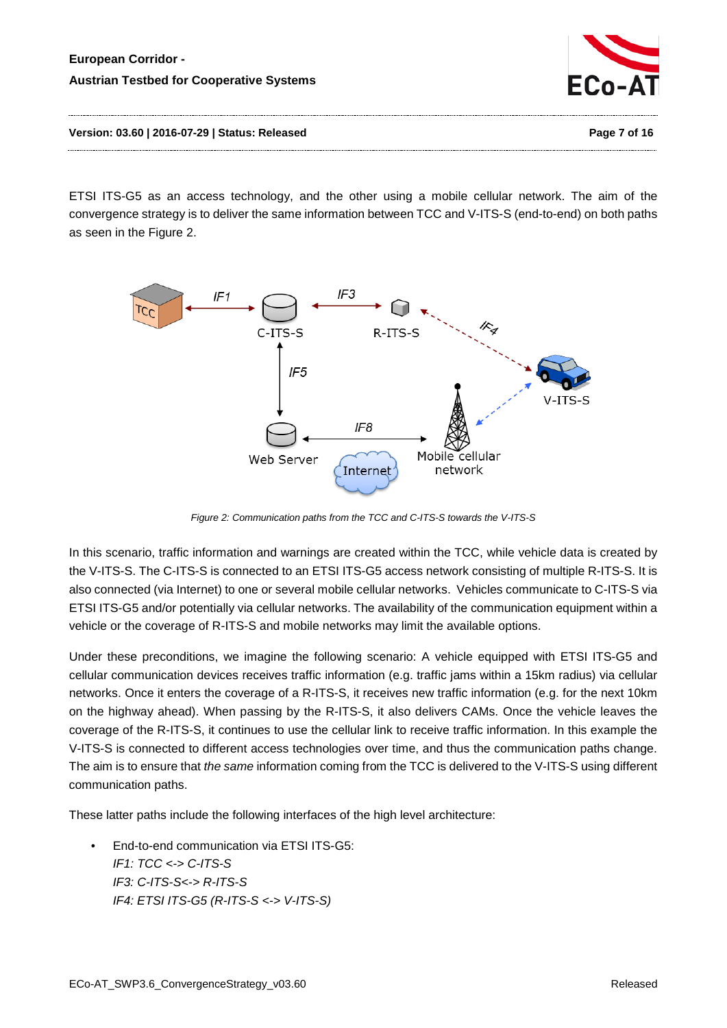# **European Corridor - Austrian Testbed for Cooperative Systems**



**Version: 03.60 | 2016-07-29 | Status: Released Page 7 of 16**

ETSI ITS-G5 as an access technology, and the other using a mobile cellular network. The aim of the convergence strategy is to deliver the same information between TCC and V-ITS-S (end-to-end) on both paths as seen in the Figure 2.



*Figure 2: Communication paths from the TCC and C-ITS-S towards the V-ITS-S*

In this scenario, traffic information and warnings are created within the TCC, while vehicle data is created by the V-ITS-S. The C-ITS-S is connected to an ETSI ITS-G5 access network consisting of multiple R-ITS-S. It is also connected (via Internet) to one or several mobile cellular networks. Vehicles communicate to C-ITS-S via ETSI ITS-G5 and/or potentially via cellular networks. The availability of the communication equipment within a vehicle or the coverage of R-ITS-S and mobile networks may limit the available options.

Under these preconditions, we imagine the following scenario: A vehicle equipped with ETSI ITS-G5 and cellular communication devices receives traffic information (e.g. traffic jams within a 15km radius) via cellular networks. Once it enters the coverage of a R-ITS-S, it receives new traffic information (e.g. for the next 10km on the highway ahead). When passing by the R-ITS-S, it also delivers CAMs. Once the vehicle leaves the coverage of the R-ITS-S, it continues to use the cellular link to receive traffic information. In this example the V-ITS-S is connected to different access technologies over time, and thus the communication paths change. The aim is to ensure that *the same* information coming from the TCC is delivered to the V-ITS-S using different communication paths.

These latter paths include the following interfaces of the high level architecture:

• End-to-end communication via ETSI ITS-G5: *IF1: TCC <-> C-ITS-S IF3: C-ITS-S<-> R-ITS-S IF4: ETSI ITS-G5 (R-ITS-S <-> V-ITS-S)*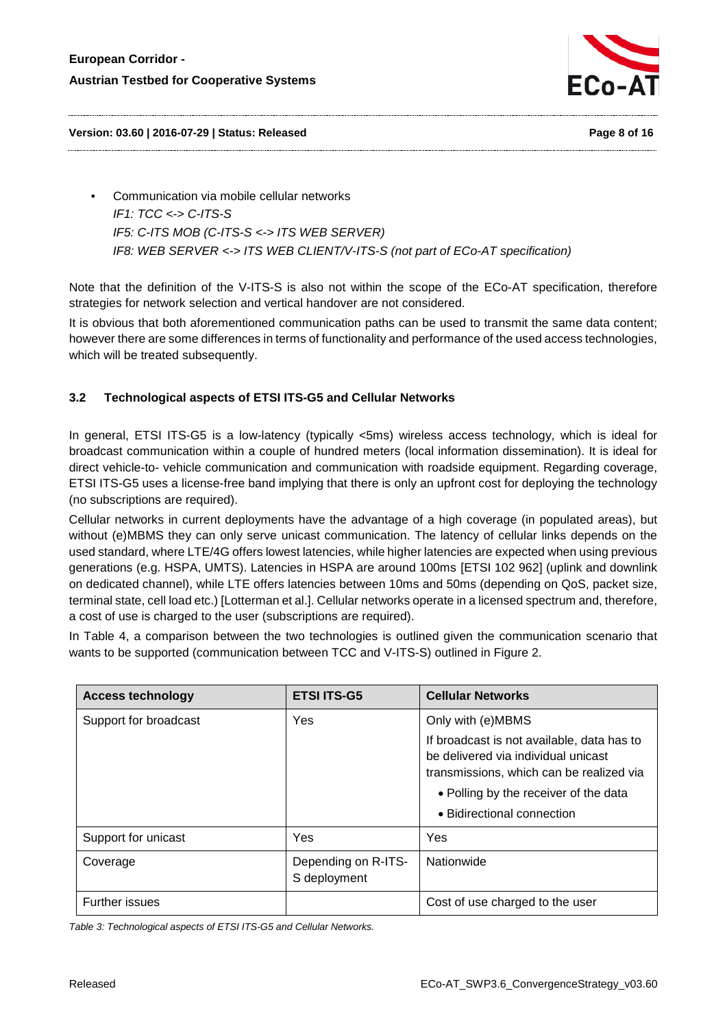

**Version: 03.60 | 2016-07-29 | Status: Released Page 8 of 16**

• Communication via mobile cellular networks *IF1: TCC <-> C-ITS-S IF5: C-ITS MOB (C-ITS-S <-> ITS WEB SERVER) IF8: WEB SERVER <-> ITS WEB CLIENT/V-ITS-S (not part of ECo-AT specification)*

Note that the definition of the V-ITS-S is also not within the scope of the ECo-AT specification, therefore strategies for network selection and vertical handover are not considered.

It is obvious that both aforementioned communication paths can be used to transmit the same data content; however there are some differences in terms of functionality and performance of the used access technologies, which will be treated subsequently.

# <span id="page-7-0"></span>**3.2 Technological aspects of ETSI ITS-G5 and Cellular Networks**

In general, ETSI ITS-G5 is a low-latency (typically <5ms) wireless access technology, which is ideal for broadcast communication within a couple of hundred meters (local information dissemination). It is ideal for direct vehicle-to- vehicle communication and communication with roadside equipment. Regarding coverage, ETSI ITS-G5 uses a license-free band implying that there is only an upfront cost for deploying the technology (no subscriptions are required).

Cellular networks in current deployments have the advantage of a high coverage (in populated areas), but without (e)MBMS they can only serve unicast communication. The latency of cellular links depends on the used standard, where LTE/4G offers lowest latencies, while higher latencies are expected when using previous generations (e.g. HSPA, UMTS). Latencies in HSPA are around 100ms [ETSI 102 962] (uplink and downlink on dedicated channel), while LTE offers latencies between 10ms and 50ms (depending on QoS, packet size, terminal state, cell load etc.) [Lotterman et al.]. Cellular networks operate in a licensed spectrum and, therefore, a cost of use is charged to the user (subscriptions are required).

In Table 4, a comparison between the two technologies is outlined given the communication scenario that wants to be supported (communication between TCC and V-ITS-S) outlined in Figure 2.

| <b>Access technology</b> | <b>ETSI ITS-G5</b>                  | <b>Cellular Networks</b>                                                                                                                                                                             |  |
|--------------------------|-------------------------------------|------------------------------------------------------------------------------------------------------------------------------------------------------------------------------------------------------|--|
| Support for broadcast    | Yes                                 | Only with (e)MBMS                                                                                                                                                                                    |  |
|                          |                                     | If broadcast is not available, data has to<br>be delivered via individual unicast<br>transmissions, which can be realized via<br>• Polling by the receiver of the data<br>• Bidirectional connection |  |
| Support for unicast      | Yes                                 | Yes                                                                                                                                                                                                  |  |
| Coverage                 | Depending on R-ITS-<br>S deployment | Nationwide                                                                                                                                                                                           |  |
| <b>Further issues</b>    |                                     | Cost of use charged to the user                                                                                                                                                                      |  |

<span id="page-7-1"></span>*Table 3: Technological aspects of ETSI ITS-G5 and Cellular Networks.*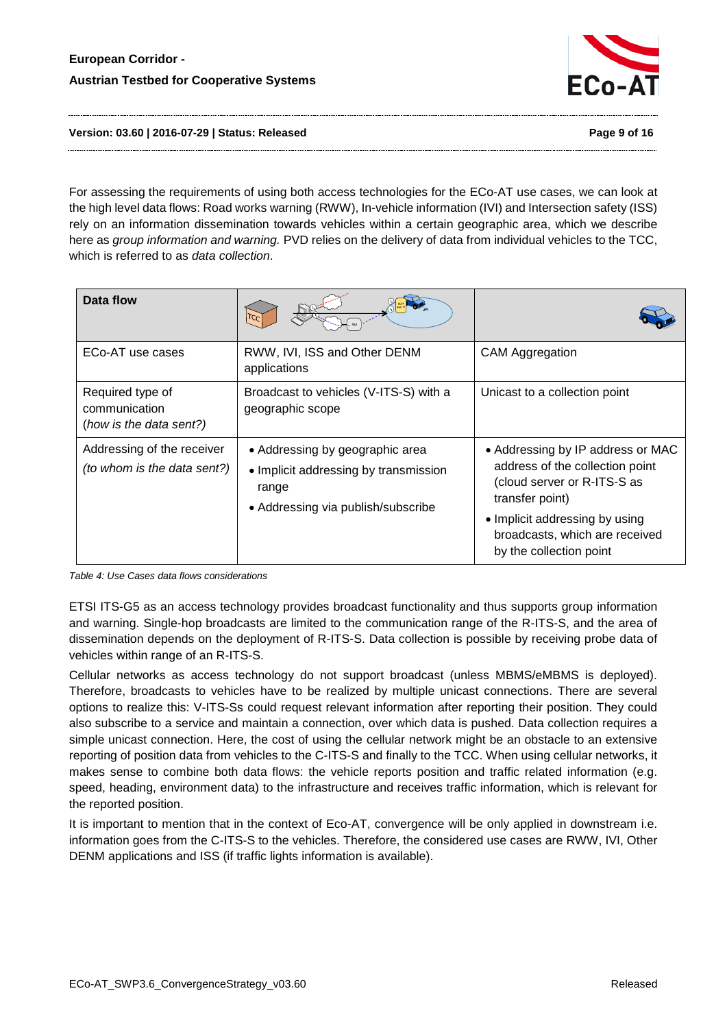

**Version: 03.60 | 2016-07-29 | Status: Released Page 9 of 16**

For assessing the requirements of using both access technologies for the ECo-AT use cases, we can look at the high level data flows: Road works warning (RWW), In-vehicle information (IVI) and Intersection safety (ISS) rely on an information dissemination towards vehicles within a certain geographic area, which we describe here as *group information and warning.* PVD relies on the delivery of data from individual vehicles to the TCC, which is referred to as *data collection*.

| Data flow                                                    | LC <sub>C</sub>                                                                                                         |                                                                                                                                                                                                                       |  |
|--------------------------------------------------------------|-------------------------------------------------------------------------------------------------------------------------|-----------------------------------------------------------------------------------------------------------------------------------------------------------------------------------------------------------------------|--|
| ECo-AT use cases                                             | RWW, IVI, ISS and Other DENM<br>applications                                                                            | <b>CAM Aggregation</b>                                                                                                                                                                                                |  |
| Required type of<br>communication<br>(how is the data sent?) | Broadcast to vehicles (V-ITS-S) with a<br>geographic scope                                                              | Unicast to a collection point                                                                                                                                                                                         |  |
| Addressing of the receiver<br>(to whom is the data sent?)    | • Addressing by geographic area<br>• Implicit addressing by transmission<br>range<br>• Addressing via publish/subscribe | • Addressing by IP address or MAC<br>address of the collection point<br>(cloud server or R-ITS-S as<br>transfer point)<br>• Implicit addressing by using<br>broadcasts, which are received<br>by the collection point |  |

<span id="page-8-0"></span>*Table 4: Use Cases data flows considerations*

ETSI ITS-G5 as an access technology provides broadcast functionality and thus supports group information and warning. Single-hop broadcasts are limited to the communication range of the R-ITS-S, and the area of dissemination depends on the deployment of R-ITS-S. Data collection is possible by receiving probe data of vehicles within range of an R-ITS-S.

Cellular networks as access technology do not support broadcast (unless MBMS/eMBMS is deployed). Therefore, broadcasts to vehicles have to be realized by multiple unicast connections. There are several options to realize this: V-ITS-Ss could request relevant information after reporting their position. They could also subscribe to a service and maintain a connection, over which data is pushed. Data collection requires a simple unicast connection. Here, the cost of using the cellular network might be an obstacle to an extensive reporting of position data from vehicles to the C-ITS-S and finally to the TCC. When using cellular networks, it makes sense to combine both data flows: the vehicle reports position and traffic related information (e.g. speed, heading, environment data) to the infrastructure and receives traffic information, which is relevant for the reported position.

It is important to mention that in the context of Eco-AT, convergence will be only applied in downstream i.e. information goes from the C-ITS-S to the vehicles. Therefore, the considered use cases are RWW, IVI, Other DENM applications and ISS (if traffic lights information is available).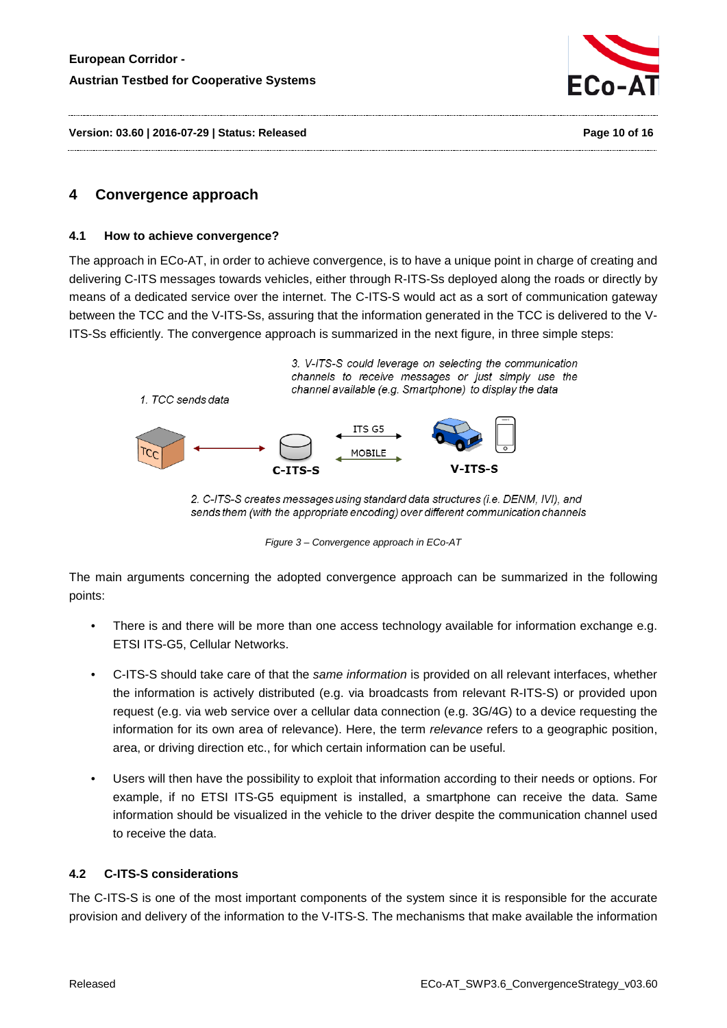

**Version: 03.60 | 2016-07-29 | Status: Released Page 10 of 16**

## <span id="page-9-1"></span><span id="page-9-0"></span>**4 Convergence approach**

## **4.1 How to achieve convergence?**

The approach in ECo-AT, in order to achieve convergence, is to have a unique point in charge of creating and delivering C-ITS messages towards vehicles, either through R-ITS-Ss deployed along the roads or directly by means of a dedicated service over the internet. The C-ITS-S would act as a sort of communication gateway between the TCC and the V-ITS-Ss, assuring that the information generated in the TCC is delivered to the V-ITS-Ss efficiently. The convergence approach is summarized in the next figure, in three simple steps:



2. C-ITS-S creates messages using standard data structures (i.e. DENM, IVI), and sends them (with the appropriate encoding) over different communication channels



The main arguments concerning the adopted convergence approach can be summarized in the following points:

- There is and there will be more than one access technology available for information exchange e.g. ETSI ITS-G5, Cellular Networks.
- C-ITS-S should take care of that the *same information* is provided on all relevant interfaces, whether the information is actively distributed (e.g. via broadcasts from relevant R-ITS-S) or provided upon request (e.g. via web service over a cellular data connection (e.g. 3G/4G) to a device requesting the information for its own area of relevance). Here, the term *relevance* refers to a geographic position, area, or driving direction etc., for which certain information can be useful.
- Users will then have the possibility to exploit that information according to their needs or options. For example, if no ETSI ITS-G5 equipment is installed, a smartphone can receive the data. Same information should be visualized in the vehicle to the driver despite the communication channel used to receive the data.

## <span id="page-9-2"></span>**4.2 C-ITS-S considerations**

The C-ITS-S is one of the most important components of the system since it is responsible for the accurate provision and delivery of the information to the V-ITS-S. The mechanisms that make available the information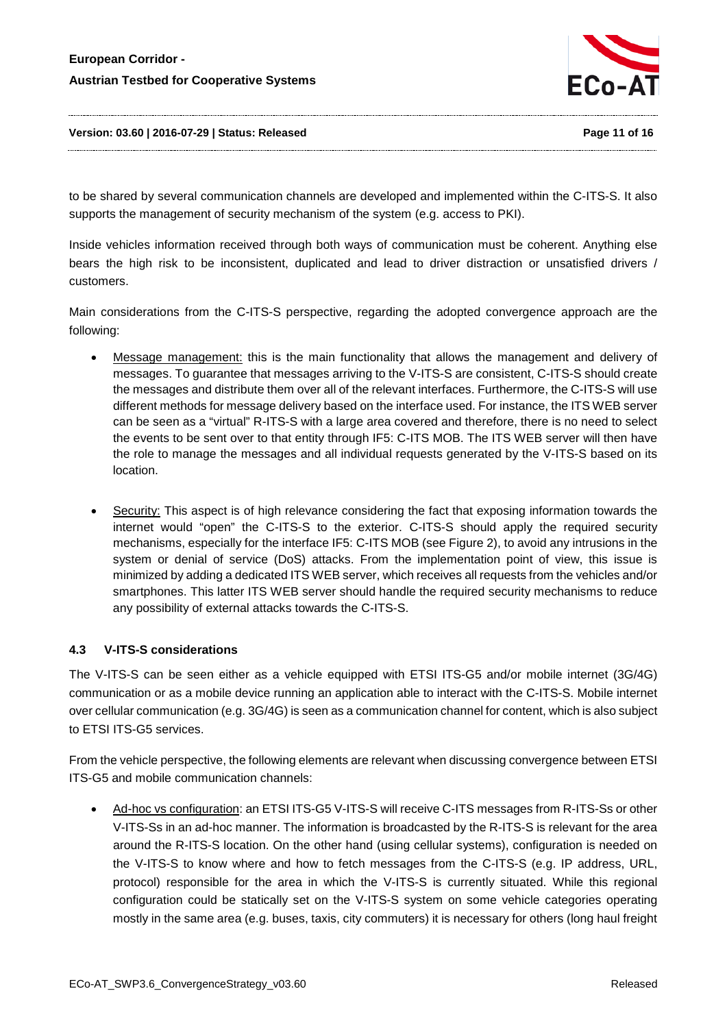

## **Version: 03.60 | 2016-07-29 | Status: Released Page 11 of 16**

to be shared by several communication channels are developed and implemented within the C-ITS-S. It also supports the management of security mechanism of the system (e.g. access to PKI).

Inside vehicles information received through both ways of communication must be coherent. Anything else bears the high risk to be inconsistent, duplicated and lead to driver distraction or unsatisfied drivers / customers.

Main considerations from the C-ITS-S perspective, regarding the adopted convergence approach are the following:

- Message management: this is the main functionality that allows the management and delivery of messages. To guarantee that messages arriving to the V-ITS-S are consistent, C-ITS-S should create the messages and distribute them over all of the relevant interfaces. Furthermore, the C-ITS-S will use different methods for message delivery based on the interface used. For instance, the ITS WEB server can be seen as a "virtual" R-ITS-S with a large area covered and therefore, there is no need to select the events to be sent over to that entity through IF5: C-ITS MOB. The ITS WEB server will then have the role to manage the messages and all individual requests generated by the V-ITS-S based on its location.
- Security: This aspect is of high relevance considering the fact that exposing information towards the internet would "open" the C-ITS-S to the exterior. C-ITS-S should apply the required security mechanisms, especially for the interface IF5: C-ITS MOB (see Figure 2), to avoid any intrusions in the system or denial of service (DoS) attacks. From the implementation point of view, this issue is minimized by adding a dedicated ITS WEB server, which receives all requests from the vehicles and/or smartphones. This latter ITS WEB server should handle the required security mechanisms to reduce any possibility of external attacks towards the C-ITS-S.

# <span id="page-10-0"></span>**4.3 V-ITS-S considerations**

The V-ITS-S can be seen either as a vehicle equipped with ETSI ITS-G5 and/or mobile internet (3G/4G) communication or as a mobile device running an application able to interact with the C-ITS-S. Mobile internet over cellular communication (e.g. 3G/4G) is seen as a communication channel for content, which is also subject to ETSI ITS-G5 services.

From the vehicle perspective, the following elements are relevant when discussing convergence between ETSI ITS-G5 and mobile communication channels:

• Ad-hoc vs configuration: an ETSI ITS-G5 V-ITS-S will receive C-ITS messages from R-ITS-Ss or other V-ITS-Ss in an ad-hoc manner. The information is broadcasted by the R-ITS-S is relevant for the area around the R-ITS-S location. On the other hand (using cellular systems), configuration is needed on the V-ITS-S to know where and how to fetch messages from the C-ITS-S (e.g. IP address, URL, protocol) responsible for the area in which the V-ITS-S is currently situated. While this regional configuration could be statically set on the V-ITS-S system on some vehicle categories operating mostly in the same area (e.g. buses, taxis, city commuters) it is necessary for others (long haul freight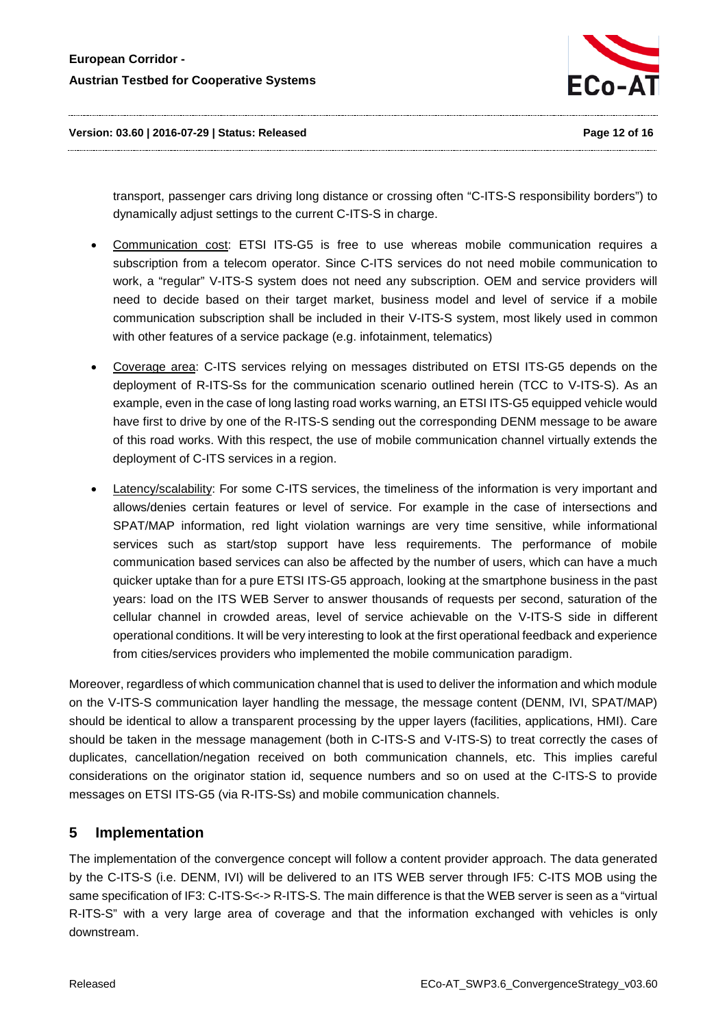

**Version: 03.60 | 2016-07-29 | Status: Released Page 12 of 16**

transport, passenger cars driving long distance or crossing often "C-ITS-S responsibility borders") to dynamically adjust settings to the current C-ITS-S in charge.

- Communication cost: ETSI ITS-G5 is free to use whereas mobile communication requires a subscription from a telecom operator. Since C-ITS services do not need mobile communication to work, a "regular" V-ITS-S system does not need any subscription. OEM and service providers will need to decide based on their target market, business model and level of service if a mobile communication subscription shall be included in their V-ITS-S system, most likely used in common with other features of a service package (e.g. infotainment, telematics)
- Coverage area: C-ITS services relying on messages distributed on ETSI ITS-G5 depends on the deployment of R-ITS-Ss for the communication scenario outlined herein (TCC to V-ITS-S). As an example, even in the case of long lasting road works warning, an ETSI ITS-G5 equipped vehicle would have first to drive by one of the R-ITS-S sending out the corresponding DENM message to be aware of this road works. With this respect, the use of mobile communication channel virtually extends the deployment of C-ITS services in a region.
- Latency/scalability: For some C-ITS services, the timeliness of the information is very important and allows/denies certain features or level of service. For example in the case of intersections and SPAT/MAP information, red light violation warnings are very time sensitive, while informational services such as start/stop support have less requirements. The performance of mobile communication based services can also be affected by the number of users, which can have a much quicker uptake than for a pure ETSI ITS-G5 approach, looking at the smartphone business in the past years: load on the ITS WEB Server to answer thousands of requests per second, saturation of the cellular channel in crowded areas, level of service achievable on the V-ITS-S side in different operational conditions. It will be very interesting to look at the first operational feedback and experience from cities/services providers who implemented the mobile communication paradigm.

Moreover, regardless of which communication channel that is used to deliver the information and which module on the V-ITS-S communication layer handling the message, the message content (DENM, IVI, SPAT/MAP) should be identical to allow a transparent processing by the upper layers (facilities, applications, HMI). Care should be taken in the message management (both in C-ITS-S and V-ITS-S) to treat correctly the cases of duplicates, cancellation/negation received on both communication channels, etc. This implies careful considerations on the originator station id, sequence numbers and so on used at the C-ITS-S to provide messages on ETSI ITS-G5 (via R-ITS-Ss) and mobile communication channels.

# <span id="page-11-0"></span>**5 Implementation**

The implementation of the convergence concept will follow a content provider approach. The data generated by the C-ITS-S (i.e. DENM, IVI) will be delivered to an ITS WEB server through IF5: C-ITS MOB using the same specification of IF3: C-ITS-S<-> R-ITS-S. The main difference is that the WEB server is seen as a "virtual R-ITS-S" with a very large area of coverage and that the information exchanged with vehicles is only downstream.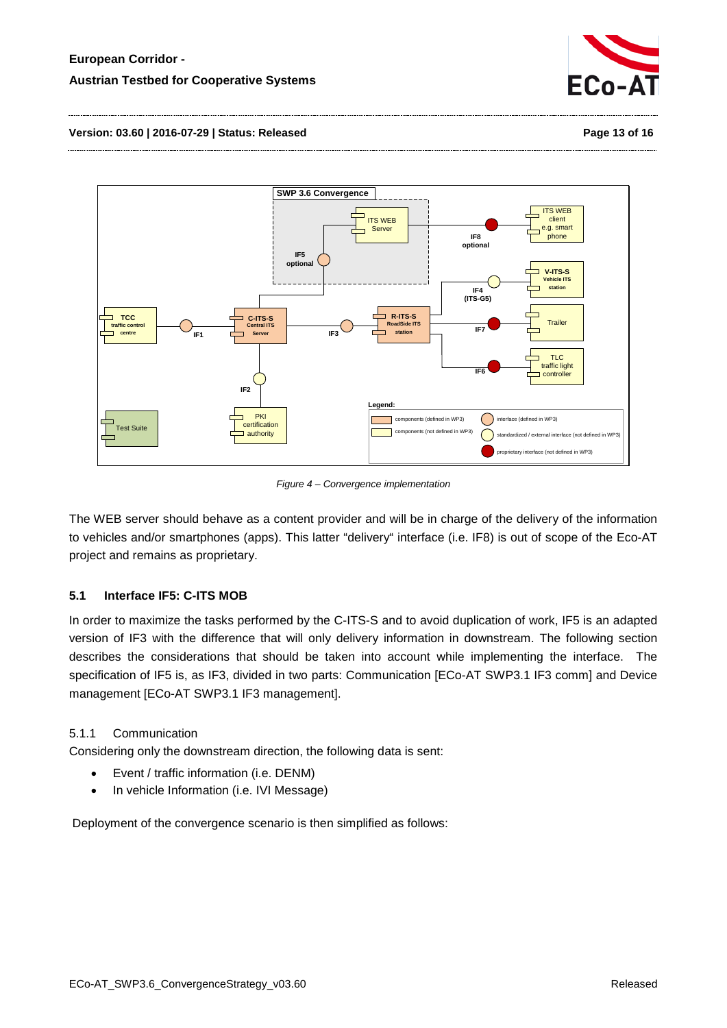

## **Version: 03.60 | 2016-07-29 | Status: Released Page 13 of 16**



*Figure 4 – Convergence implementation*

The WEB server should behave as a content provider and will be in charge of the delivery of the information to vehicles and/or smartphones (apps). This latter "delivery" interface (i.e. IF8) is out of scope of the Eco-AT project and remains as proprietary.

## <span id="page-12-0"></span>**5.1 Interface IF5: C-ITS MOB**

In order to maximize the tasks performed by the C-ITS-S and to avoid duplication of work, IF5 is an adapted version of IF3 with the difference that will only delivery information in downstream. The following section describes the considerations that should be taken into account while implementing the interface. The specification of IF5 is, as IF3, divided in two parts: Communication [ECo-AT SWP3.1 IF3 comm] and Device management [ECo-AT SWP3.1 IF3 management].

## <span id="page-12-1"></span>5.1.1 Communication

Considering only the downstream direction, the following data is sent:

- Event / traffic information (i.e. DENM)
- In vehicle Information (i.e. IVI Message)

Deployment of the convergence scenario is then simplified as follows: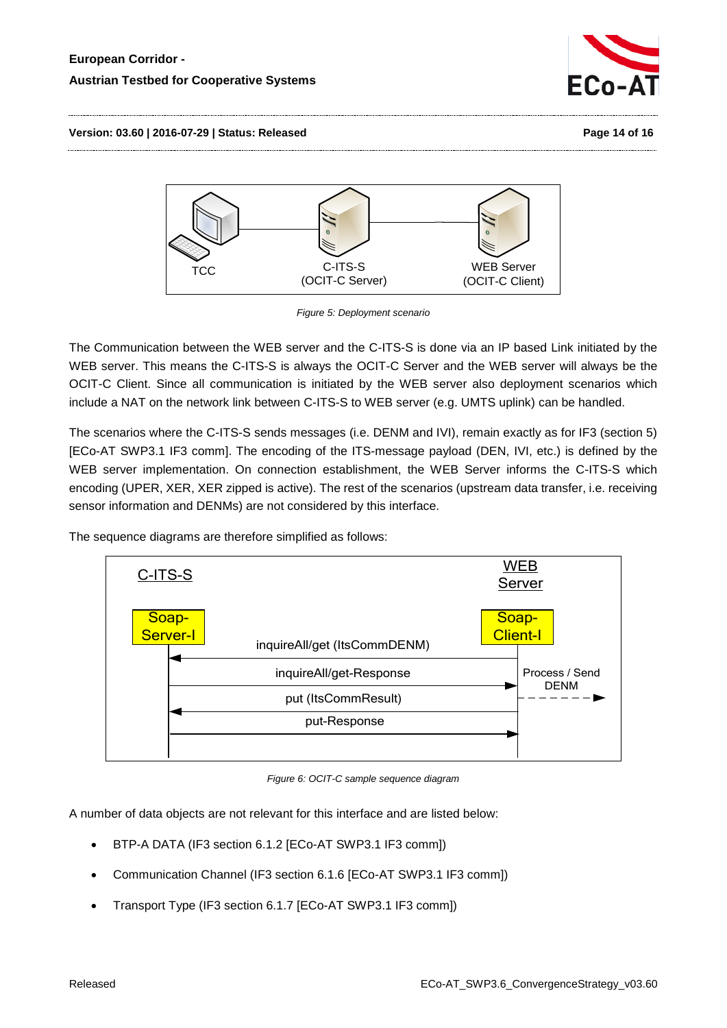

**Version: 03.60 | 2016-07-29 | Status: Released Page 14 of 16**



*Figure 5: Deployment scenario*

<span id="page-13-0"></span>The Communication between the WEB server and the C-ITS-S is done via an IP based Link initiated by the WEB server. This means the C-ITS-S is always the OCIT-C Server and the WEB server will always be the OCIT-C Client. Since all communication is initiated by the WEB server also deployment scenarios which include a NAT on the network link between C-ITS-S to WEB server (e.g. UMTS uplink) can be handled.

The scenarios where the C-ITS-S sends messages (i.e. DENM and IVI), remain exactly as for IF3 (section 5) [ECo-AT SWP3.1 IF3 comm]. The encoding of the ITS-message payload (DEN, IVI, etc.) is defined by the WEB server implementation. On connection establishment, the WEB Server informs the C-ITS-S which encoding (UPER, XER, XER zipped is active). The rest of the scenarios (upstream data transfer, i.e. receiving sensor information and DENMs) are not considered by this interface.

The sequence diagrams are therefore simplified as follows:



*Figure 6: OCIT-C sample sequence diagram*

A number of data objects are not relevant for this interface and are listed below:

- BTP-A DATA (IF3 section 6.1.2 [ECo-AT SWP3.1 IF3 comm])
- Communication Channel (IF3 section 6.1.6 [ECo-AT SWP3.1 IF3 comm])
- Transport Type (IF3 section 6.1.7 [ECo-AT SWP3.1 IF3 comm])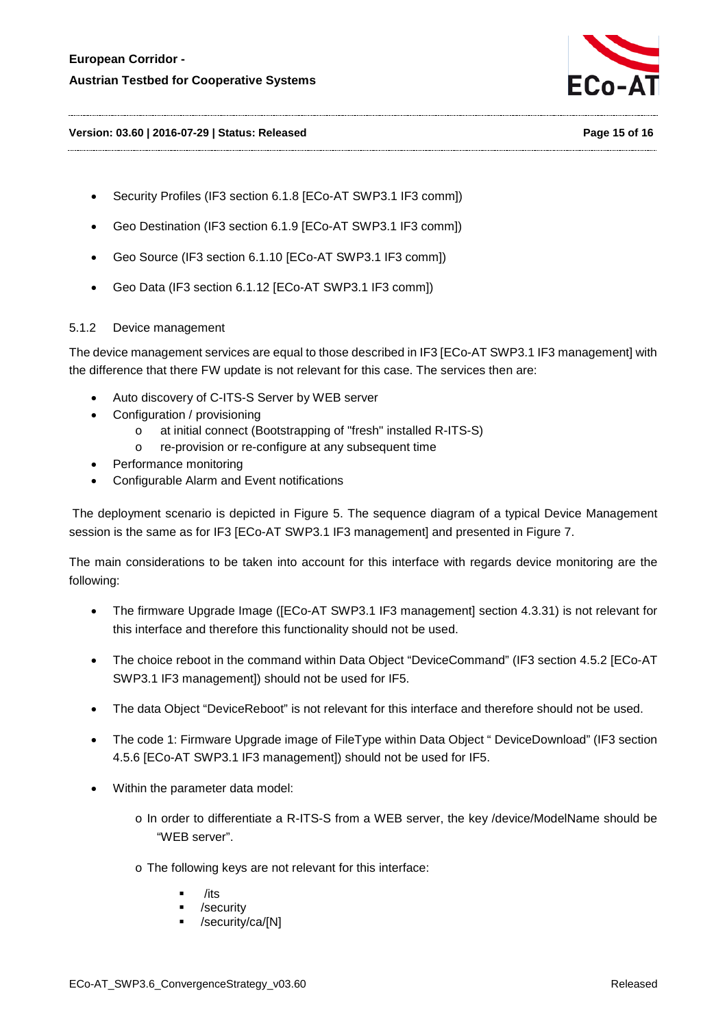

## **Version: 03.60 | 2016-07-29 | Status: Released Page 15 of 16**

- Security Profiles (IF3 section 6.1.8 [ECo-AT SWP3.1 IF3 comm])
- Geo Destination (IF3 section 6.1.9 [ECo-AT SWP3.1 IF3 comm])
- Geo Source (IF3 section 6.1.10 [ECo-AT SWP3.1 IF3 comm])
- Geo Data (IF3 section 6.1.12 [ECo-AT SWP3.1 IF3 comm])

#### <span id="page-14-0"></span>5.1.2 Device management

The device management services are equal to those described in IF3 [ECo-AT SWP3.1 IF3 management] with the difference that there FW update is not relevant for this case. The services then are:

- Auto discovery of C-ITS-S Server by WEB server
- Configuration / provisioning
	- o at initial connect (Bootstrapping of "fresh" installed R-ITS-S)
	- o re-provision or re-configure at any subsequent time
- Performance monitoring
- Configurable Alarm and Event notifications

The deployment scenario is depicted in [Figure 5.](#page-13-0) The sequence diagram of a typical Device Management session is the same as for IF3 [ECo-AT SWP3.1 IF3 management] and presented in [Figure 7.](#page-15-0)

The main considerations to be taken into account for this interface with regards device monitoring are the following:

- The firmware Upgrade Image ([ECo-AT SWP3.1 IF3 management] section 4.3.31) is not relevant for this interface and therefore this functionality should not be used.
- The choice reboot in the command within Data Object "DeviceCommand" (IF3 section 4.5.2 [ECo-AT SWP3.1 IF3 management]) should not be used for IF5.
- The data Object "DeviceReboot" is not relevant for this interface and therefore should not be used.
- The code 1: Firmware Upgrade image of FileType within Data Object " DeviceDownload" (IF3 section 4.5.6 [ECo-AT SWP3.1 IF3 management]) should not be used for IF5.
- Within the parameter data model:
	- o In order to differentiate a R-ITS-S from a WEB server, the key /device/ModelName should be "WEB server".
	- o The following keys are not relevant for this interface:
		- /its
		- /security
		- /security/ca/[N]